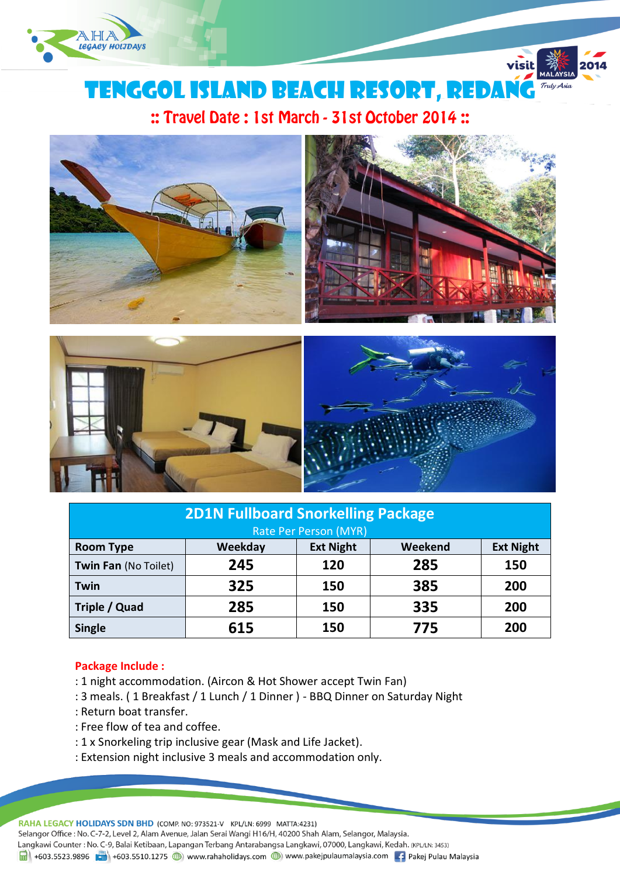

# tenggol island beach RESORT, REDANG

visit

:: Travel Date: 1st March - 31st October 2014:





| <b>2D1N Fullboard Snorkelling Package</b> |         |                  |         |                  |  |
|-------------------------------------------|---------|------------------|---------|------------------|--|
| Rate Per Person (MYR)                     |         |                  |         |                  |  |
| <b>Room Type</b>                          | Weekday | <b>Ext Night</b> | Weekend | <b>Ext Night</b> |  |
| Twin Fan (No Toilet)                      | 245     | 120              | 285     | 150              |  |
| Twin                                      | 325     | 150              | 385     | 200              |  |
| Triple / Quad                             | 285     | 150              | 335     | 200              |  |
| <b>Single</b>                             | 615     | 150              | 775     | 200              |  |

# **Package Include :**

- : 1 night accommodation. (Aircon & Hot Shower accept Twin Fan)
- : 3 meals. ( 1 Breakfast / 1 Lunch / 1 Dinner ) BBQ Dinner on Saturday Night
- : Return boat transfer.
- : Free flow of tea and coffee.
- : 1 x Snorkeling trip inclusive gear (Mask and Life Jacket).
- : Extension night inclusive 3 meals and accommodation only.

RAHA LEGACY HOLIDAYS SDN BHD (COMP. NO: 973521-V KPL/LN: 6999 MATTA:4231)

Selangor Office : No. C-7-2, Level 2, Alam Avenue, Jalan Serai Wangi H16/H, 40200 Shah Alam, Selangor, Malaysia.

Langkawi Counter: No. C-9, Balai Ketibaan, Lapangan Terbang Antarabangsa Langkawi, 07000, Langkawi, Kedah. (KPL/LN: 3453)

1988 +603.5523.9896 + +603.5510.1275 + +603.5510.1275 + +603.5510.1275 + +603.5510.1275 + +603.5510.1275 + +603.5510.1275 + +603.5510.1275 + +603.5510.1275 + +603.5510.1275 + +603.5510.1275 + +603.5510.1275 + +603.5510.127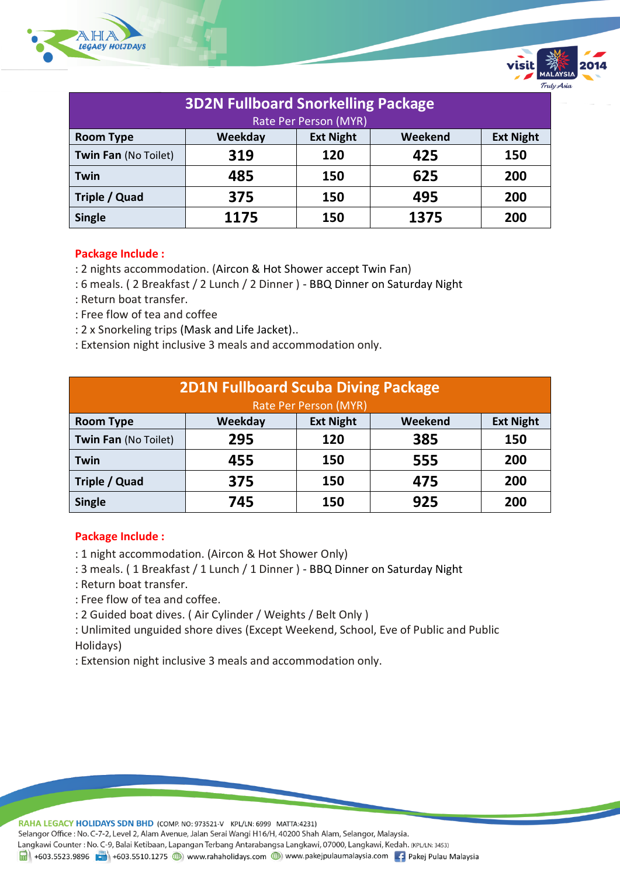

| <b>3D2N Fullboard Snorkelling Package</b> |         |                  |         |                  |  |
|-------------------------------------------|---------|------------------|---------|------------------|--|
| Rate Per Person (MYR)                     |         |                  |         |                  |  |
| <b>Room Type</b>                          | Weekday | <b>Ext Night</b> | Weekend | <b>Ext Night</b> |  |
| Twin Fan (No Toilet)                      | 319     | 120              | 425     | 150              |  |
| <b>Twin</b>                               | 485     | 150              | 625     | 200              |  |
| Triple / Quad                             | 375     | 150              | 495     | 200              |  |
| <b>Single</b>                             | 1175    | 150              | 1375    | 200              |  |

#### **Package Include :**

- : 2 nights accommodation. (Aircon & Hot Shower accept Twin Fan)
- : 6 meals. ( 2 Breakfast / 2 Lunch / 2 Dinner ) BBQ Dinner on Saturday Night
- : Return boat transfer.
- : Free flow of tea and coffee
- : 2 x Snorkeling trips (Mask and Life Jacket)..
- : Extension night inclusive 3 meals and accommodation only.

| <b>2D1N Fullboard Scuba Diving Package</b><br>Rate Per Person (MYR) |         |                  |         |                  |
|---------------------------------------------------------------------|---------|------------------|---------|------------------|
| <b>Room Type</b>                                                    | Weekday | <b>Ext Night</b> | Weekend | <b>Ext Night</b> |
| Twin Fan (No Toilet)                                                | 295     | 120              | 385     | 150              |
| <b>Twin</b>                                                         | 455     | 150              | 555     | 200              |
| Triple / Quad                                                       | 375     | 150              | 475     | 200              |
| <b>Single</b>                                                       | 745     | 150              | 925     | 200              |

#### **Package Include :**

- : 1 night accommodation. (Aircon & Hot Shower Only)
- : 3 meals. ( 1 Breakfast / 1 Lunch / 1 Dinner ) BBQ Dinner on Saturday Night
- : Return boat transfer.
- : Free flow of tea and coffee.
- : 2 Guided boat dives. ( Air Cylinder / Weights / Belt Only )
- : Unlimited unguided shore dives (Except Weekend, School, Eve of Public and Public Holidays)
- : Extension night inclusive 3 meals and accommodation only.

RAHA LEGACY HOLIDAYS SDN BHD (COMP. NO: 973521-V KPL/LN: 6999 MATTA:4231)

Selangor Office : No. C-7-2, Level 2, Alam Avenue, Jalan Serai Wangi H16/H, 40200 Shah Alam, Selangor, Malaysia.

Langkawi Counter: No. C-9, Balai Ketibaan, Lapangan Terbang Antarabangsa Langkawi, 07000, Langkawi, Kedah. (KPL/LN: 3453)

1988 +603.5523.9896 + +603.5510.1275 + +603.5510.1275 + +603.5510.1275 + +603.5510.1275 + +603.5510.1275 + +603.5510.1275 + +603.5510.1275 + +603.5510.1275 + +603.5510.1275 + +603.5510.1275 + +603.5510.1275 + +603.5510.127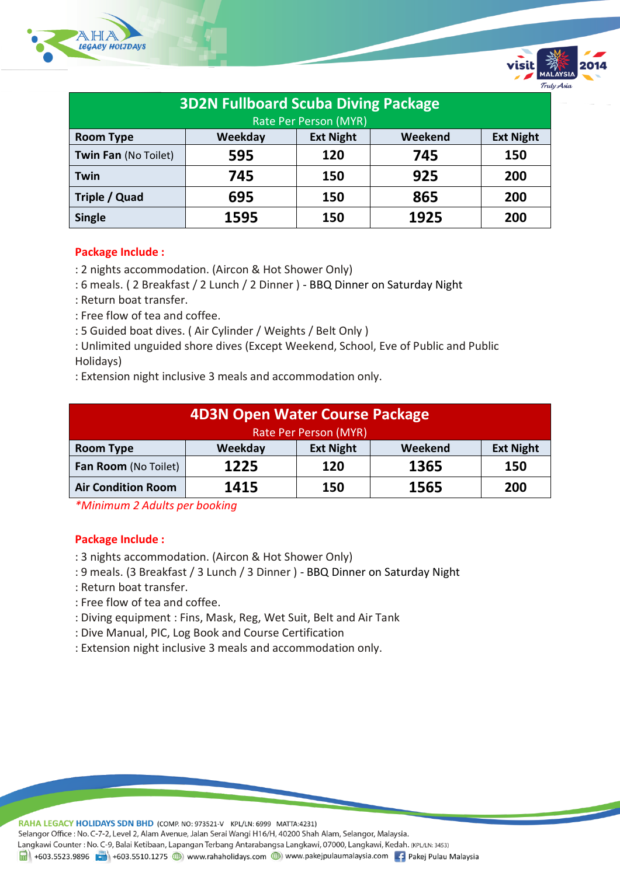

| <b>3D2N Fullboard Scuba Diving Package</b> |         |                  |         |                  |  |
|--------------------------------------------|---------|------------------|---------|------------------|--|
| Rate Per Person (MYR)                      |         |                  |         |                  |  |
| <b>Room Type</b>                           | Weekday | <b>Ext Night</b> | Weekend | <b>Ext Night</b> |  |
| Twin Fan (No Toilet)                       | 595     | 120              | 745     | 150              |  |
| <b>Twin</b>                                | 745     | 150              | 925     | 200              |  |
| Triple / Quad                              | 695     | 150              | 865     | 200              |  |
| <b>Single</b>                              | 1595    | 150              | 1925    | 200              |  |

### **Package Include :**

- : 2 nights accommodation. (Aircon & Hot Shower Only)
- : 6 meals. ( 2 Breakfast / 2 Lunch / 2 Dinner ) BBQ Dinner on Saturday Night
- : Return boat transfer.
- : Free flow of tea and coffee.
- : 5 Guided boat dives. ( Air Cylinder / Weights / Belt Only )
- : Unlimited unguided shore dives (Except Weekend, School, Eve of Public and Public Holidays)
- : Extension night inclusive 3 meals and accommodation only.

| <b>4D3N Open Water Course Package</b> |         |                  |         |                  |  |
|---------------------------------------|---------|------------------|---------|------------------|--|
| Rate Per Person (MYR)                 |         |                  |         |                  |  |
| <b>Room Type</b>                      | Weekday | <b>Ext Night</b> | Weekend | <b>Ext Night</b> |  |
| Fan Room (No Toilet)                  | 1225    | 120              | 1365    | 150              |  |
| <b>Air Condition Room</b>             | 1415    | 150              | 1565    | 200              |  |

*\*Minimum 2 Adults per booking*

# **Package Include :**

- : 3 nights accommodation. (Aircon & Hot Shower Only)
- : 9 meals. (3 Breakfast / 3 Lunch / 3 Dinner ) BBQ Dinner on Saturday Night
- : Return boat transfer.
- : Free flow of tea and coffee.
- : Diving equipment : Fins, Mask, Reg, Wet Suit, Belt and Air Tank
- : Dive Manual, PIC, Log Book and Course Certification
- : Extension night inclusive 3 meals and accommodation only.

RAHA LEGACY HOLIDAYS SDN BHD (COMP. NO: 973521-V KPL/LN: 6999 MATTA:4231)

Selangor Office : No. C-7-2, Level 2, Alam Avenue, Jalan Serai Wangi H16/H, 40200 Shah Alam, Selangor, Malaysia.

Langkawi Counter: No. C-9, Balai Ketibaan, Lapangan Terbang Antarabangsa Langkawi, 07000, Langkawi, Kedah. (KPL/LN: 3453)

 $\frac{1}{21}$  +603.5523.9896 + +603.5510.1275 (b) www.rahaholidays.com (b) www.pakejpulaumalaysia.com + Pakej Pulau Malaysia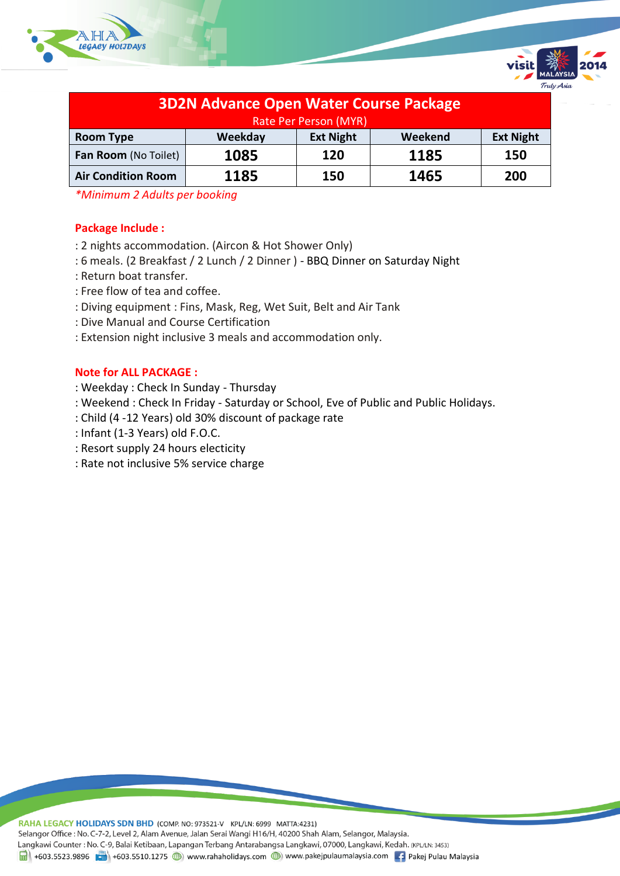



Truly Asia

*\*Minimum 2 Adults per booking*

# **Package Include :**

- : 2 nights accommodation. (Aircon & Hot Shower Only)
- : 6 meals. (2 Breakfast / 2 Lunch / 2 Dinner ) BBQ Dinner on Saturday Night
- : Return boat transfer.
- : Free flow of tea and coffee.
- : Diving equipment : Fins, Mask, Reg, Wet Suit, Belt and Air Tank
- : Dive Manual and Course Certification
- : Extension night inclusive 3 meals and accommodation only.

## **Note for ALL PACKAGE :**

- : Weekday : Check In Sunday Thursday
- : Weekend : Check In Friday Saturday or School, Eve of Public and Public Holidays.
- : Child (4 -12 Years) old 30% discount of package rate
- : Infant (1-3 Years) old F.O.C.
- : Resort supply 24 hours electicity
- : Rate not inclusive 5% service charge